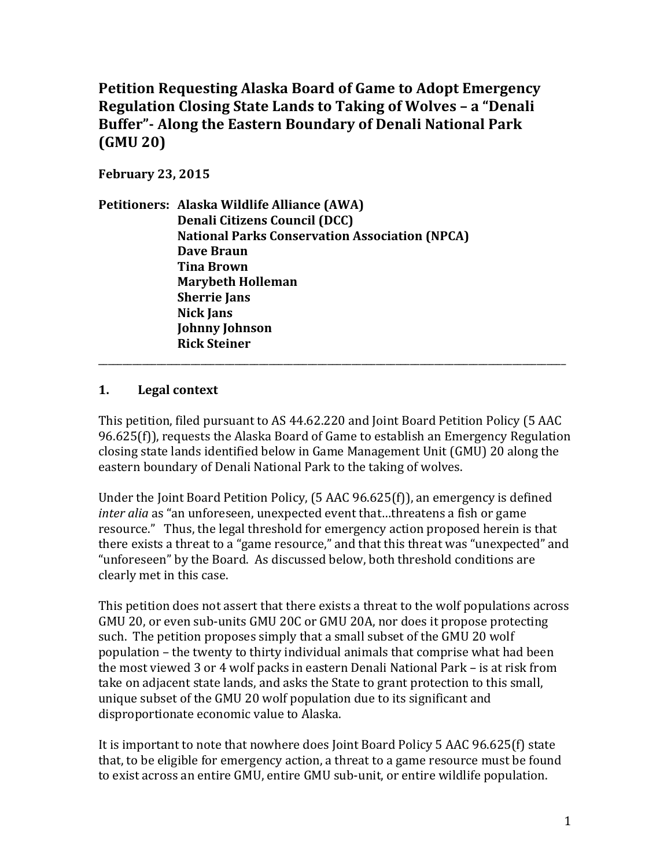**Petition Requesting Alaska Board of Game to Adopt Emergency Regulation Closing State Lands to Taking of Wolves - a "Denali" Buffer"**- Along the Eastern Boundary of Denali National Park **(GMU 20)** 

**February 23, 2015**

|  | Petitioners: Alaska Wildlife Alliance (AWA)           |
|--|-------------------------------------------------------|
|  | <b>Denali Citizens Council (DCC)</b>                  |
|  | <b>National Parks Conservation Association (NPCA)</b> |
|  | <b>Dave Braun</b>                                     |
|  | <b>Tina Brown</b>                                     |
|  | <b>Marybeth Holleman</b>                              |
|  | <b>Sherrie Jans</b>                                   |
|  | <b>Nick Jans</b>                                      |
|  | <b>Johnny Johnson</b>                                 |
|  | <b>Rick Steiner</b>                                   |

#### **1. Legal context**

This petition, filed pursuant to AS 44.62.220 and Joint Board Petition Policy (5 AAC 96.625(f)), requests the Alaska Board of Game to establish an Emergency Regulation closing state lands identified below in Game Management Unit (GMU) 20 along the eastern boundary of Denali National Park to the taking of wolves.

\_\_\_\_\_\_\_\_\_\_\_\_\_\_\_\_\_\_\_\_\_\_\_\_\_\_\_\_\_\_\_\_\_\_\_\_\_\_\_\_\_\_\_\_\_\_\_\_\_\_\_\_\_\_\_\_\_\_\_\_\_\_\_\_\_\_\_\_\_\_\_\_\_\_\_\_\_\_\_\_\_\_\_\_\_\_\_\_\_\_\_\_\_\_\_\_

Under the Joint Board Petition Policy,  $(5$  AAC  $96.625(f)$ ), an emergency is defined *inter alig* as "an unforeseen, unexpected event that...threatens a fish or game resource." Thus, the legal threshold for emergency action proposed herein is that there exists a threat to a "game resource," and that this threat was "unexpected" and "unforeseen" by the Board. As discussed below, both threshold conditions are clearly met in this case.

This petition does not assert that there exists a threat to the wolf populations across GMU 20, or even sub-units GMU 20C or GMU 20A, nor does it propose protecting such. The petition proposes simply that a small subset of the GMU 20 wolf population – the twenty to thirty individual animals that comprise what had been the most viewed 3 or 4 wolf packs in eastern Denali National Park – is at risk from take on adjacent state lands, and asks the State to grant protection to this small, unique subset of the GMU 20 wolf population due to its significant and disproportionate economic value to Alaska.

It is important to note that nowhere does Joint Board Policy 5 AAC 96.625(f) state that, to be eligible for emergency action, a threat to a game resource must be found to exist across an entire GMU, entire GMU sub-unit, or entire wildlife population.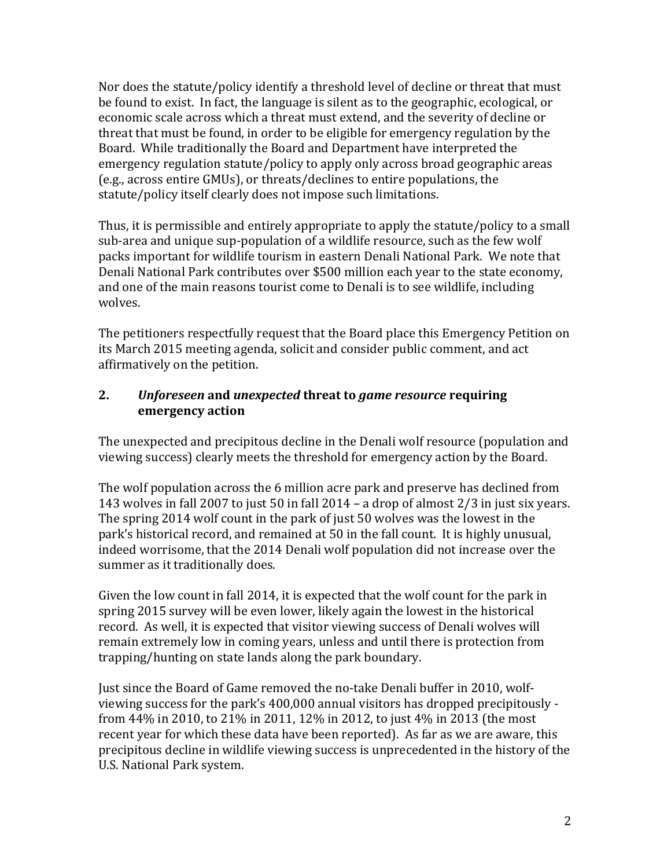Nor does the statute/policy identify a threshold level of decline or threat that must be found to exist. In fact, the language is silent as to the geographic, ecological, or economic scale across which a threat must extend, and the severity of decline or threat that must be found, in order to be eligible for emergency regulation by the Board. While traditionally the Board and Department have interpreted the emergency regulation statute/policy to apply only across broad geographic areas (e.g., across entire GMUs), or threats/declines to entire populations, the statute/policy itself clearly does not impose such limitations.

Thus, it is permissible and entirely appropriate to apply the statute/policy to a small sub-area and unique sup-population of a wildlife resource, such as the few wolf packs important for wildlife tourism in eastern Denali National Park. We note that Denali National Park contributes over \$500 million each year to the state economy, and one of the main reasons tourist come to Denali is to see wildlife, including wolves.

The petitioners respectfully request that the Board place this Emergency Petition on its March 2015 meeting agenda, solicit and consider public comment, and act affirmatively on the petition.

#### **2.** *Unforeseen* and *unexpected* threat to *game resource* requiring **emergency action**

The unexpected and precipitous decline in the Denali wolf resource (population and viewing success) clearly meets the threshold for emergency action by the Board.

The wolf population across the 6 million acre park and preserve has declined from 143 wolves in fall 2007 to just 50 in fall  $2014$  – a drop of almost  $2/3$  in just six years. The spring 2014 wolf count in the park of just 50 wolves was the lowest in the park's historical record, and remained at 50 in the fall count. It is highly unusual, indeed worrisome, that the 2014 Denali wolf population did not increase over the summer as it traditionally does.

Given the low count in fall 2014, it is expected that the wolf count for the park in spring 2015 survey will be even lower, likely again the lowest in the historical record. As well, it is expected that visitor viewing success of Denali wolves will remain extremely low in coming years, unless and until there is protection from trapping/hunting on state lands along the park boundary.

Just since the Board of Game removed the no-take Denali buffer in 2010, wolfviewing success for the park's 400,000 annual visitors has dropped precipitously from  $44\%$  in 2010, to 21% in 2011, 12% in 2012, to just  $4\%$  in 2013 (the most recent year for which these data have been reported). As far as we are aware, this precipitous decline in wildlife viewing success is unprecedented in the history of the U.S. National Park system.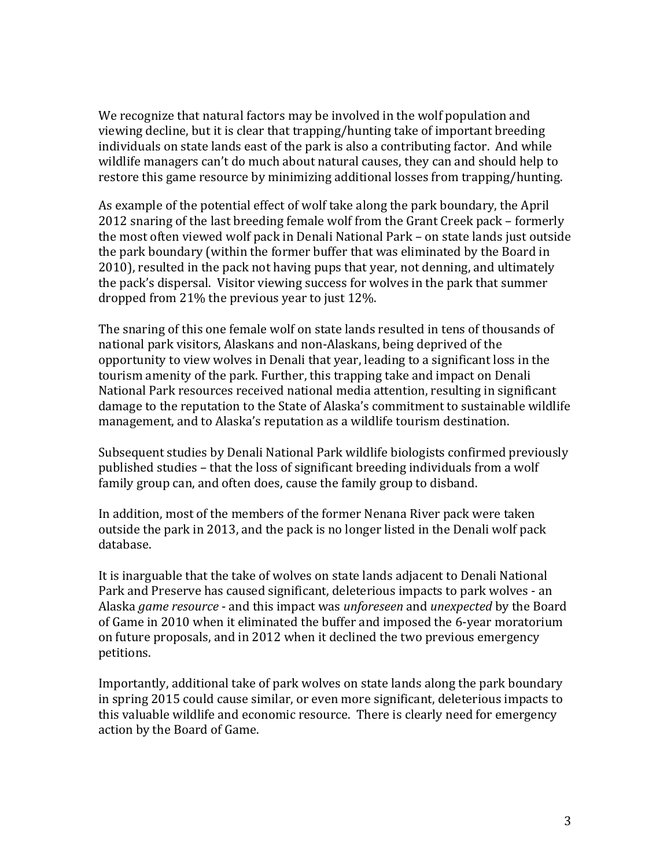We recognize that natural factors may be involved in the wolf population and viewing decline, but it is clear that trapping/hunting take of important breeding individuals on state lands east of the park is also a contributing factor. And while wildlife managers can't do much about natural causes, they can and should help to restore this game resource by minimizing additional losses from trapping/hunting.

As example of the potential effect of wolf take along the park boundary, the April 2012 snaring of the last breeding female wolf from the Grant Creek pack – formerly the most often viewed wolf pack in Denali National Park – on state lands just outside the park boundary (within the former buffer that was eliminated by the Board in 2010), resulted in the pack not having pups that year, not denning, and ultimately the pack's dispersal. Visitor viewing success for wolves in the park that summer dropped from  $21\%$  the previous year to just  $12\%$ .

The snaring of this one female wolf on state lands resulted in tens of thousands of national park visitors, Alaskans and non-Alaskans, being deprived of the opportunity to view wolves in Denali that year, leading to a significant loss in the tourism amenity of the park. Further, this trapping take and impact on Denali National Park resources received national media attention, resulting in significant damage to the reputation to the State of Alaska's commitment to sustainable wildlife management, and to Alaska's reputation as a wildlife tourism destination.

Subsequent studies by Denali National Park wildlife biologists confirmed previously published studies – that the loss of significant breeding individuals from a wolf family group can, and often does, cause the family group to disband.

In addition, most of the members of the former Nenana River pack were taken outside the park in 2013, and the pack is no longer listed in the Denali wolf pack database. 

It is inarguable that the take of wolves on state lands adjacent to Denali National Park and Preserve has caused significant, deleterious impacts to park wolves - an Alaska *game resource* - and this impact was *unforeseen* and *unexpected* by the Board of Game in 2010 when it eliminated the buffer and imposed the 6-year moratorium on future proposals, and in 2012 when it declined the two previous emergency petitions. 

Importantly, additional take of park wolves on state lands along the park boundary in spring 2015 could cause similar, or even more significant, deleterious impacts to this valuable wildlife and economic resource. There is clearly need for emergency action by the Board of Game.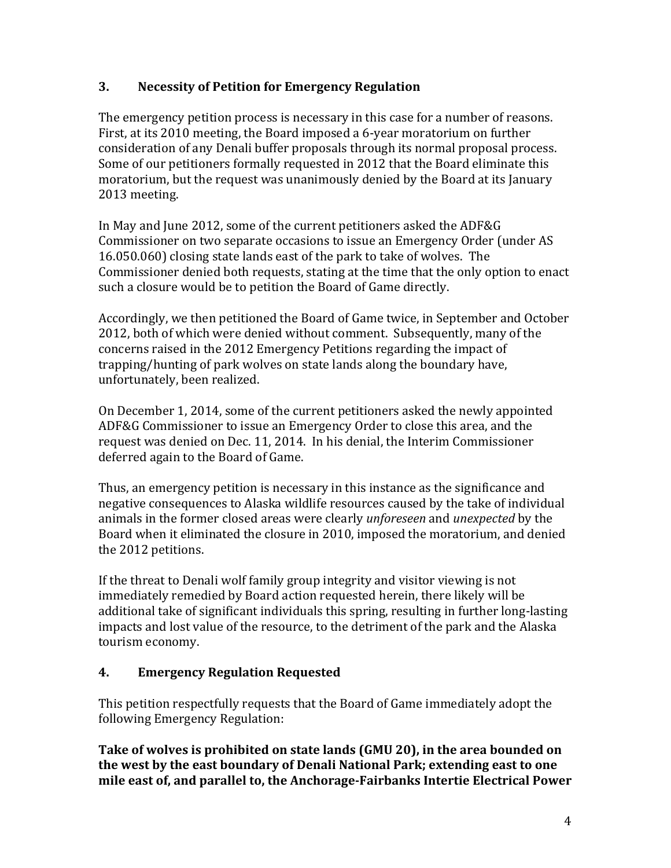### **3. Necessity of Petition for Emergency Regulation**

The emergency petition process is necessary in this case for a number of reasons. First, at its 2010 meeting, the Board imposed a 6-year moratorium on further consideration of any Denali buffer proposals through its normal proposal process. Some of our petitioners formally requested in 2012 that the Board eliminate this moratorium, but the request was unanimously denied by the Board at its January 2013 meeting.

In Mav and June 2012, some of the current petitioners asked the ADF&G Commissioner on two separate occasions to issue an Emergency Order (under AS 16.050.060) closing state lands east of the park to take of wolves. The Commissioner denied both requests, stating at the time that the only option to enact such a closure would be to petition the Board of Game directly.

Accordingly, we then petitioned the Board of Game twice, in September and October 2012, both of which were denied without comment. Subsequently, many of the concerns raised in the 2012 Emergency Petitions regarding the impact of trapping/hunting of park wolves on state lands along the boundary have, unfortunately, been realized.

On December 1, 2014, some of the current petitioners asked the newly appointed ADF&G Commissioner to issue an Emergency Order to close this area, and the request was denied on Dec. 11, 2014. In his denial, the Interim Commissioner deferred again to the Board of Game.

Thus, an emergency petition is necessary in this instance as the significance and negative consequences to Alaska wildlife resources caused by the take of individual animals in the former closed areas were clearly *unforeseen* and *unexpected* by the Board when it eliminated the closure in 2010, imposed the moratorium, and denied the 2012 petitions.

If the threat to Denali wolf family group integrity and visitor viewing is not immediately remedied by Board action requested herein, there likely will be additional take of significant individuals this spring, resulting in further long-lasting impacts and lost value of the resource, to the detriment of the park and the Alaska tourism economy.

### **4. Emergency Regulation Requested**

This petition respectfully requests that the Board of Game immediately adopt the following Emergency Regulation:

Take of wolves is prohibited on state lands (GMU 20), in the area bounded on **the west by the east boundary of Denali National Park; extending east to one** mile east of, and parallel to, the Anchorage-Fairbanks Intertie Electrical Power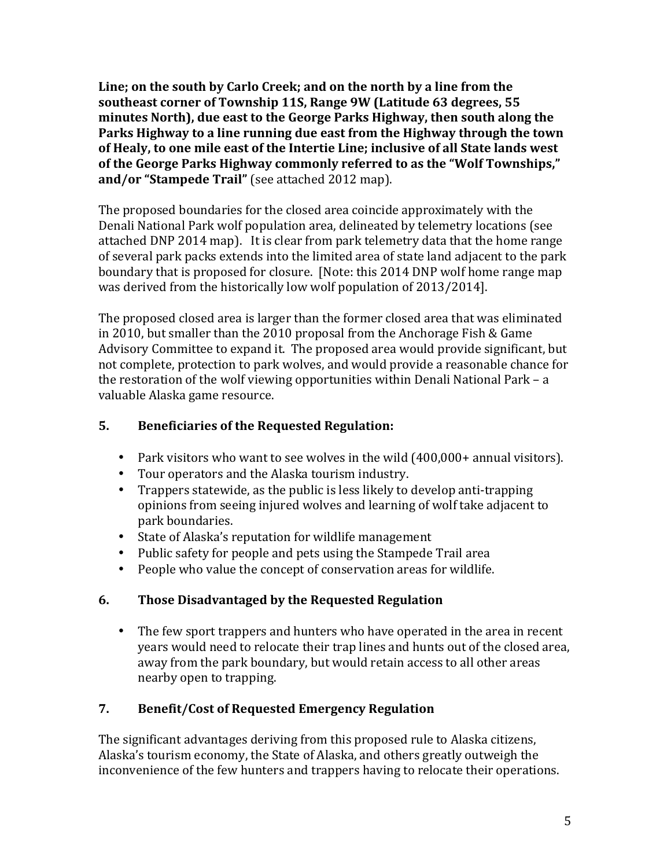Line; on the south by Carlo Creek; and on the north by a line from the southeast corner of Township 11S, Range 9W (Latitude 63 degrees, 55 minutes North), due east to the George Parks Highway, then south along the Parks Highway to a line running due east from the Highway through the town of Healy, to one mile east of the Intertie Line; inclusive of all State lands west of the George Parks Highway commonly referred to as the "Wolf Townships," and/or "Stampede Trail" (see attached 2012 map).

The proposed boundaries for the closed area coincide approximately with the Denali National Park wolf population area, delineated by telemetry locations (see attached DNP 2014 map). It is clear from park telemetry data that the home range of several park packs extends into the limited area of state land adjacent to the park boundary that is proposed for closure. [Note: this 2014 DNP wolf home range map was derived from the historically low wolf population of 2013/2014].

The proposed closed area is larger than the former closed area that was eliminated in 2010, but smaller than the 2010 proposal from the Anchorage Fish & Game Advisory Committee to expand it. The proposed area would provide significant, but not complete, protection to park wolves, and would provide a reasonable chance for the restoration of the wolf viewing opportunities within Denali National Park  $-$  a valuable Alaska game resource.

### **5.** Beneficiaries of the Requested Regulation:

- Park visitors who want to see wolves in the wild (400,000+ annual visitors).
- Tour operators and the Alaska tourism industry.
- Trappers statewide, as the public is less likely to develop anti-trapping opinions from seeing injured wolves and learning of wolf take adjacent to park boundaries.
- State of Alaska's reputation for wildlife management
- Public safety for people and pets using the Stampede Trail area
- People who value the concept of conservation areas for wildlife.

# **6. Those Disadvantaged by the Requested Regulation**

• The few sport trappers and hunters who have operated in the area in recent years would need to relocate their trap lines and hunts out of the closed area, away from the park boundary, but would retain access to all other areas nearby open to trapping.

# **7. Benefit/Cost of Requested Emergency Regulation**

The significant advantages deriving from this proposed rule to Alaska citizens, Alaska's tourism economy, the State of Alaska, and others greatly outweigh the inconvenience of the few hunters and trappers having to relocate their operations.